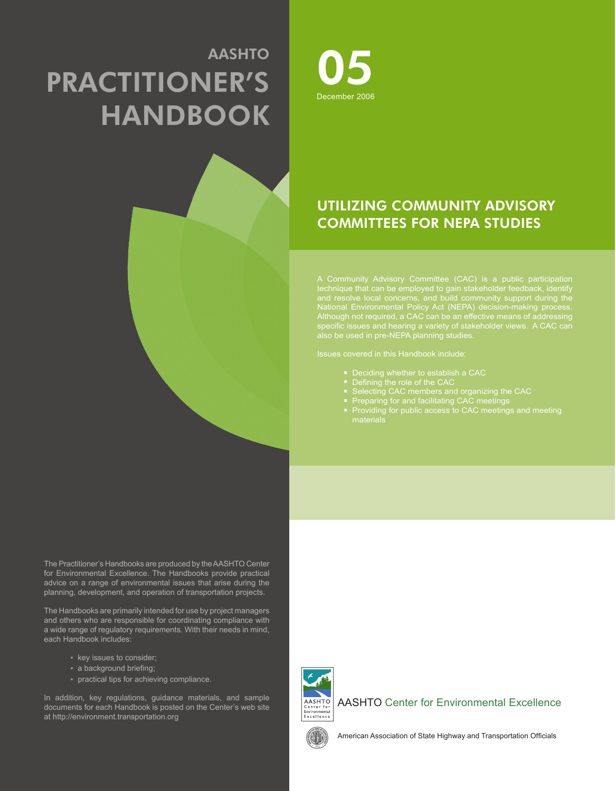# AASHTO PRACTITIONER'S **HANDBOOK**



# UTILIZING COMMUNITY ADVISORY COMMITTEES FOR NEPA STUDIES

National Environmental Policy Act (NEPA) decision-making process.

Issues covered in this Handbook include:

- 
- 
- 
- 
- 

The Practitioner's Handbooks are produced by the AASHTO Center for Environmental Excellence. The Handbooks provide practical advice on a range of environmental issues that arise during the planning, development, and operation of transportation projects.

The Handbooks are primarily intended for use by project managers and others who are responsible for coordinating compliance with a wide range of regulatory requirements. With their needs in mind, each Handbook includes:

- key issues to consider;
- a background briefing;
- practical tips for achieving compliance.

In addition, key regulations, guidance materials, and sample documents for each Handbook is posted on the Center's web site at http://environment.transportation.org



AASHTO Center for Environmental Excellence



American Association of State Highway and Transportation Officials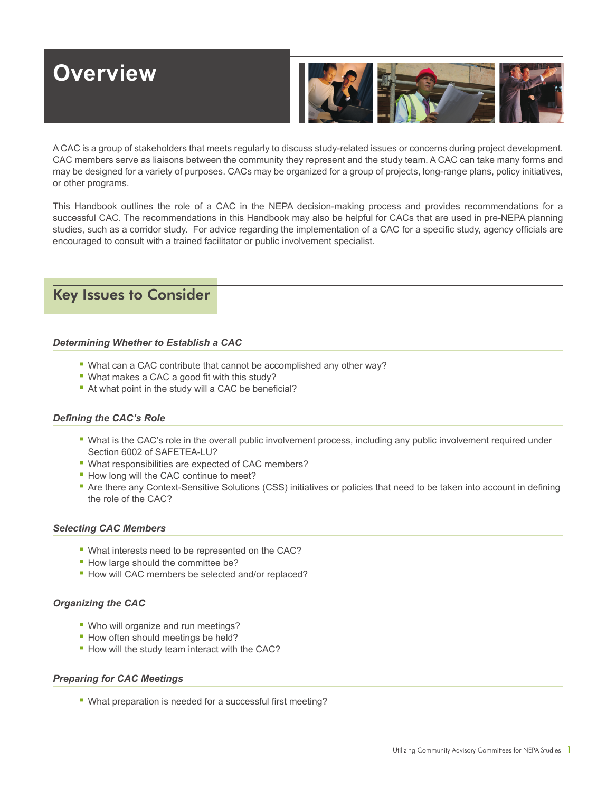# **Overview**



A CAC is a group of stakeholders that meets regularly to discuss study-related issues or concerns during project development. CAC members serve as liaisons between the community they represent and the study team. A CAC can take many forms and may be designed for a variety of purposes. CACs may be organized for a group of projects, long-range plans, policy initiatives, or other programs.

This Handbook outlines the role of a CAC in the NEPA decision-making process and provides recommendations for a successful CAC. The recommendations in this Handbook may also be helpful for CACs that are used in pre-NEPA planning studies, such as a corridor study. For advice regarding the implementation of a CAC for a specific study, agency officials are encouraged to consult with a trained facilitator or public involvement specialist.

# Key Issues to Consider

### *Determining Whether to Establish a CAC*

- What can a CAC contribute that cannot be accomplished any other way?
- $\blacksquare$  What makes a CAC a good fit with this study?
- At what point in the study will a CAC be beneficial?

### **Defining the CAC's Role**

- What is the CAC's role in the overall public involvement process, including any public involvement required under Section 6002 of SAFETEA-LU?
- What responsibilities are expected of CAC members?
- **.** How long will the CAC continue to meet?
- **•** Are there any Context-Sensitive Solutions (CSS) initiatives or policies that need to be taken into account in defining the role of the CAC?

#### *Selecting CAC Members*

- What interests need to be represented on the CAC?
- **How large should the committee be?**
- **How will CAC members be selected and/or replaced?**

#### *Organizing the CAC*

- **Who will organize and run meetings?**
- **· How often should meetings be held?**
- **How will the study team interact with the CAC?**

#### *Preparing for CAC Meetings*

• What preparation is needed for a successful first meeting?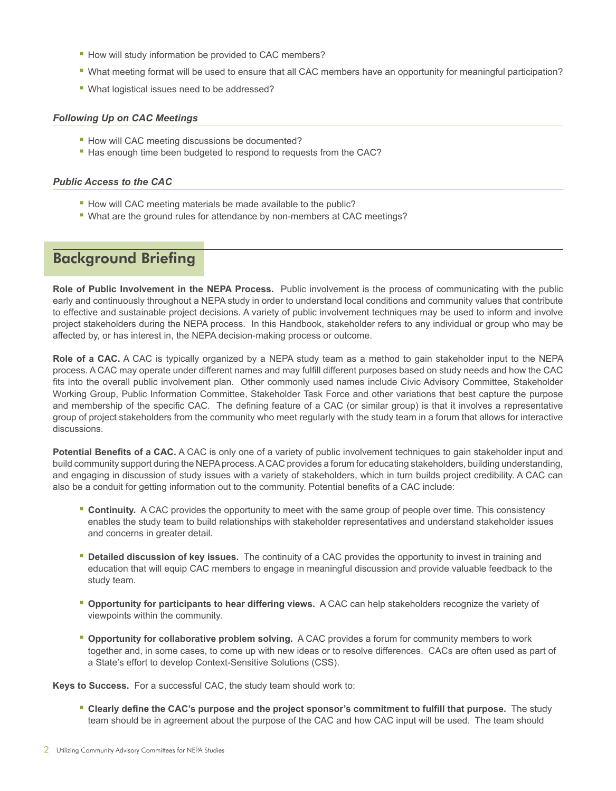- How will study information be provided to CAC members?
- What meeting format will be used to ensure that all CAC members have an opportunity for meaningful participation?
- What logistical issues need to be addressed?

### *Following Up on CAC Meetings*

- **How will CAC meeting discussions be documented?**
- Has enough time been budgeted to respond to requests from the CAC?

### *Public Access to the CAC*

- **How will CAC meeting materials be made available to the public?**
- What are the ground rules for attendance by non-members at CAC meetings?

# Background Briefing

**Role of Public Involvement in the NEPA Process.** Public involvement is the process of communicating with the public early and continuously throughout a NEPA study in order to understand local conditions and community values that contribute to effective and sustainable project decisions. A variety of public involvement techniques may be used to inform and involve project stakeholders during the NEPA process. In this Handbook, stakeholder refers to any individual or group who may be affected by, or has interest in, the NEPA decision-making process or outcome.

**Role of a CAC.** A CAC is typically organized by a NEPA study team as a method to gain stakeholder input to the NEPA process. A CAC may operate under different names and may fulfill different purposes based on study needs and how the CAC fits into the overall public involvement plan. Other commonly used names include Civic Advisory Committee, Stakeholder Working Group, Public Information Committee, Stakeholder Task Force and other variations that best capture the purpose and membership of the specific CAC. The defining feature of a CAC (or similar group) is that it involves a representative group of project stakeholders from the community who meet regularly with the study team in a forum that allows for interactive discussions.

**Potential Benefits of a CAC.** A CAC is only one of a variety of public involvement techniques to gain stakeholder input and build community support during the NEPA process. A CAC provides a forum for educating stakeholders, building understanding, and engaging in discussion of study issues with a variety of stakeholders, which in turn builds project credibility. A CAC can also be a conduit for getting information out to the community. Potential benefits of a CAC include:

- **EX Continuity.** A CAC provides the opportunity to meet with the same group of people over time. This consistency enables the study team to build relationships with stakeholder representatives and understand stakeholder issues and concerns in greater detail.
- **Detailed discussion of key issues.** The continuity of a CAC provides the opportunity to invest in training and education that will equip CAC members to engage in meaningful discussion and provide valuable feedback to the study team.
- **Opportunity for participants to hear differing views.** A CAC can help stakeholders recognize the variety of viewpoints within the community.
- **Opportunity for collaborative problem solving.** A CAC provides a forum for community members to work together and, in some cases, to come up with new ideas or to resolve differences. CACs are often used as part of a State's effort to develop Context-Sensitive Solutions (CSS).

**Keys to Success.** For a successful CAC, the study team should work to:

**• Clearly define the CAC's purpose and the project sponsor's commitment to fulfill that purpose.** The study team should be in agreement about the purpose of the CAC and how CAC input will be used. The team should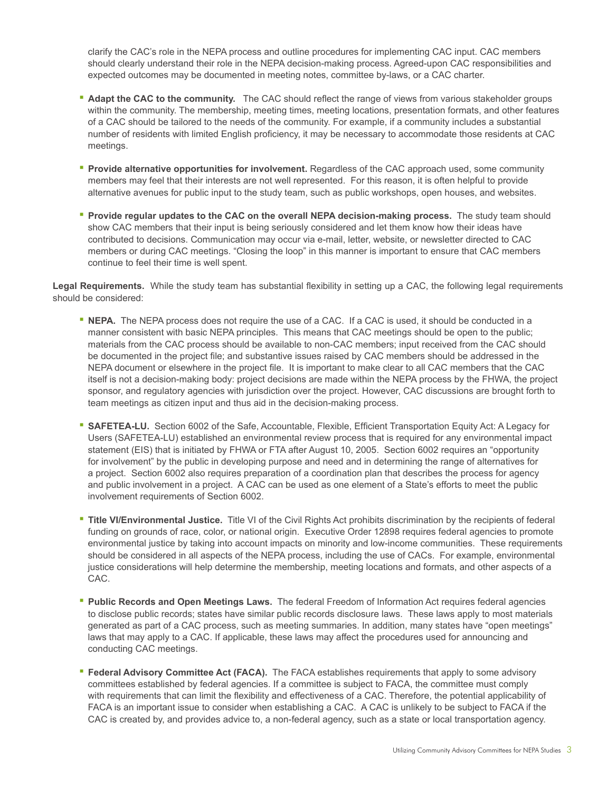clarify the CAC's role in the NEPA process and outline procedures for implementing CAC input. CAC members should clearly understand their role in the NEPA decision-making process. Agreed-upon CAC responsibilities and expected outcomes may be documented in meeting notes, committee by-laws, or a CAC charter.

- Adapt the CAC to the community. The CAC should reflect the range of views from various stakeholder groups within the community. The membership, meeting times, meeting locations, presentation formats, and other features of a CAC should be tailored to the needs of the community. For example, if a community includes a substantial number of residents with limited English proficiency, it may be necessary to accommodate those residents at CAC meetings.
- **Provide alternative opportunities for involvement.** Regardless of the CAC approach used, some community members may feel that their interests are not well represented. For this reason, it is often helpful to provide alternative avenues for public input to the study team, such as public workshops, open houses, and websites.
- **Provide regular updates to the CAC on the overall NEPA decision-making process.** The study team should show CAC members that their input is being seriously considered and let them know how their ideas have contributed to decisions. Communication may occur via e-mail, letter, website, or newsletter directed to CAC members or during CAC meetings. "Closing the loop" in this manner is important to ensure that CAC members continue to feel their time is well spent.

Legal Requirements. While the study team has substantial flexibility in setting up a CAC, the following legal requirements should be considered:

- **EXECT A.** The NEPA process does not require the use of a CAC. If a CAC is used, it should be conducted in a manner consistent with basic NEPA principles. This means that CAC meetings should be open to the public; materials from the CAC process should be available to non-CAC members; input received from the CAC should be documented in the project file; and substantive issues raised by CAC members should be addressed in the NEPA document or elsewhere in the project file. It is important to make clear to all CAC members that the CAC itself is not a decision-making body: project decisions are made within the NEPA process by the FHWA, the project sponsor, and regulatory agencies with jurisdiction over the project. However, CAC discussions are brought forth to team meetings as citizen input and thus aid in the decision-making process.
- **SAFETEA-LU.** Section 6002 of the Safe, Accountable, Flexible, Efficient Transportation Equity Act: A Legacy for Users (SAFETEA-LU) established an environmental review process that is required for any environmental impact statement (EIS) that is initiated by FHWA or FTA after August 10, 2005. Section 6002 requires an "opportunity for involvement" by the public in developing purpose and need and in determining the range of alternatives for a project. Section 6002 also requires preparation of a coordination plan that describes the process for agency and public involvement in a project. A CAC can be used as one element of a State's efforts to meet the public involvement requirements of Section 6002.
- Title VI/Environmental Justice. Title VI of the Civil Rights Act prohibits discrimination by the recipients of federal funding on grounds of race, color, or national origin. Executive Order 12898 requires federal agencies to promote environmental justice by taking into account impacts on minority and low-income communities. These requirements should be considered in all aspects of the NEPA process, including the use of CACs. For example, environmental justice considerations will help determine the membership, meeting locations and formats, and other aspects of a CAC.
- **Public Records and Open Meetings Laws.** The federal Freedom of Information Act requires federal agencies to disclose public records; states have similar public records disclosure laws. These laws apply to most materials generated as part of a CAC process, such as meeting summaries. In addition, many states have "open meetings" laws that may apply to a CAC. If applicable, these laws may affect the procedures used for announcing and conducting CAC meetings.
- **Federal Advisory Committee Act (FACA).** The FACA establishes requirements that apply to some advisory committees established by federal agencies. If a committee is subject to FACA, the committee must comply with requirements that can limit the flexibility and effectiveness of a CAC. Therefore, the potential applicability of FACA is an important issue to consider when establishing a CAC. A CAC is unlikely to be subject to FACA if the CAC is created by, and provides advice to, a non-federal agency, such as a state or local transportation agency.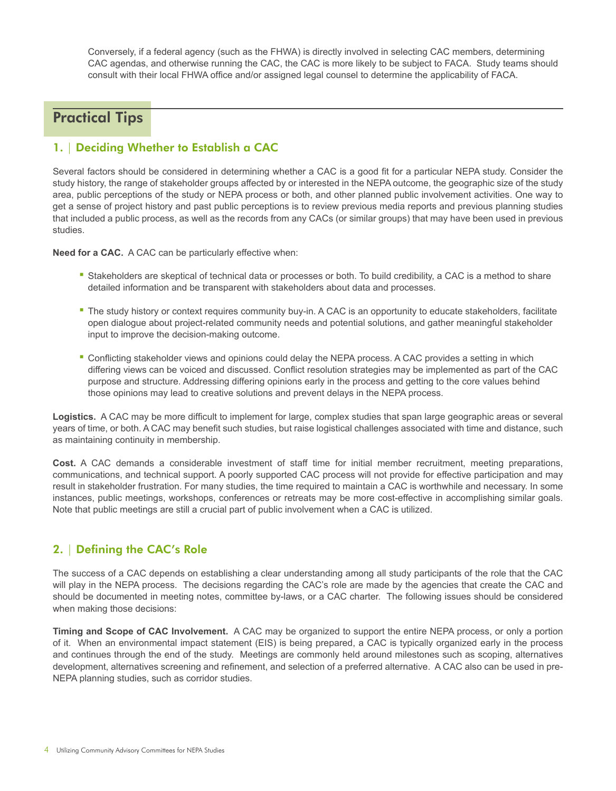Conversely, if a federal agency (such as the FHWA) is directly involved in selecting CAC members, determining CAC agendas, and otherwise running the CAC, the CAC is more likely to be subject to FACA. Study teams should consult with their local FHWA office and/or assigned legal counsel to determine the applicability of FACA.

# Practical Tips

### 1. | Deciding Whether to Establish a CAC

Several factors should be considered in determining whether a CAC is a good fit for a particular NEPA study. Consider the study history, the range of stakeholder groups affected by or interested in the NEPA outcome, the geographic size of the study area, public perceptions of the study or NEPA process or both, and other planned public involvement activities. One way to get a sense of project history and past public perceptions is to review previous media reports and previous planning studies that included a public process, as well as the records from any CACs (or similar groups) that may have been used in previous studies.

**Need for a CAC.** A CAC can be particularly effective when:

- Stakeholders are skeptical of technical data or processes or both. To build credibility, a CAC is a method to share detailed information and be transparent with stakeholders about data and processes.
- The study history or context requires community buy-in. A CAC is an opportunity to educate stakeholders, facilitate open dialogue about project-related community needs and potential solutions, and gather meaningful stakeholder input to improve the decision-making outcome.
- " Conflicting stakeholder views and opinions could delay the NEPA process. A CAC provides a setting in which differing views can be voiced and discussed. Conflict resolution strategies may be implemented as part of the CAC purpose and structure. Addressing differing opinions early in the process and getting to the core values behind those opinions may lead to creative solutions and prevent delays in the NEPA process.

**Logistics.** A CAC may be more difficult to implement for large, complex studies that span large geographic areas or several years of time, or both. A CAC may benefit such studies, but raise logistical challenges associated with time and distance, such as maintaining continuity in membership.

**Cost.** A CAC demands a considerable investment of staff time for initial member recruitment, meeting preparations, communications, and technical support. A poorly supported CAC process will not provide for effective participation and may result in stakeholder frustration. For many studies, the time required to maintain a CAC is worthwhile and necessary. In some instances, public meetings, workshops, conferences or retreats may be more cost-effective in accomplishing similar goals. Note that public meetings are still a crucial part of public involvement when a CAC is utilized.

## 2. | Defining the CAC's Role

The success of a CAC depends on establishing a clear understanding among all study participants of the role that the CAC will play in the NEPA process. The decisions regarding the CAC's role are made by the agencies that create the CAC and should be documented in meeting notes, committee by-laws, or a CAC charter. The following issues should be considered when making those decisions:

**Timing and Scope of CAC Involvement.** A CAC may be organized to support the entire NEPA process, or only a portion of it. When an environmental impact statement (EIS) is being prepared, a CAC is typically organized early in the process and continues through the end of the study. Meetings are commonly held around milestones such as scoping, alternatives development, alternatives screening and refinement, and selection of a preferred alternative. A CAC also can be used in pre-NEPA planning studies, such as corridor studies.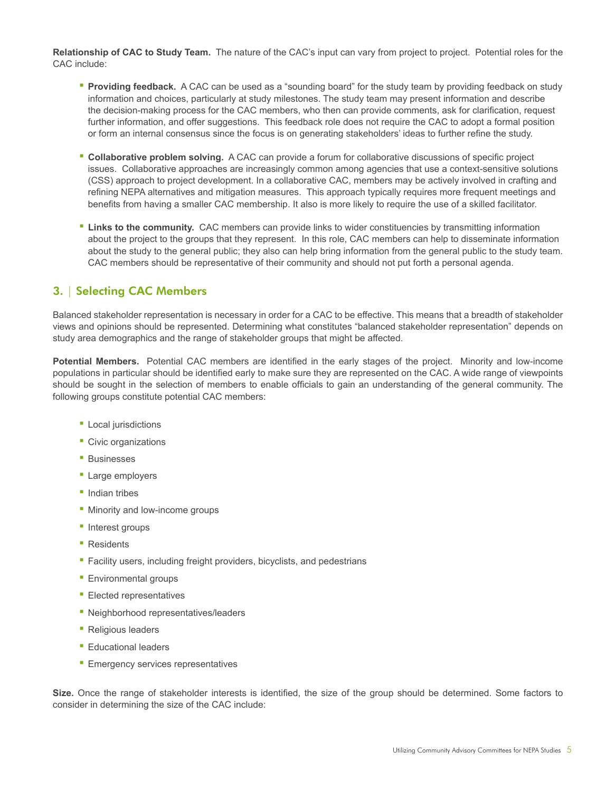**Relationship of CAC to Study Team.** The nature of the CAC's input can vary from project to project. Potential roles for the CAC include:

- **Providing feedback.** A CAC can be used as a "sounding board" for the study team by providing feedback on study information and choices, particularly at study milestones. The study team may present information and describe the decision-making process for the CAC members, who then can provide comments, ask for clarification, request further information, and offer suggestions. This feedback role does not require the CAC to adopt a formal position or form an internal consensus since the focus is on generating stakeholders' ideas to further refine the study.
- **Collaborative problem solving.** A CAC can provide a forum for collaborative discussions of specific project issues. Collaborative approaches are increasingly common among agencies that use a context-sensitive solutions (CSS) approach to project development. In a collaborative CAC, members may be actively involved in crafting and refining NEPA alternatives and mitigation measures. This approach typically requires more frequent meetings and benefits from having a smaller CAC membership. It also is more likely to require the use of a skilled facilitator.
- **EXT Links to the community.** CAC members can provide links to wider constituencies by transmitting information about the project to the groups that they represent. In this role, CAC members can help to disseminate information about the study to the general public; they also can help bring information from the general public to the study team. CAC members should be representative of their community and should not put forth a personal agenda.

## 3. | Selecting CAC Members

Balanced stakeholder representation is necessary in order for a CAC to be effective. This means that a breadth of stakeholder views and opinions should be represented. Determining what constitutes "balanced stakeholder representation" depends on study area demographics and the range of stakeholder groups that might be affected.

Potential Members. Potential CAC members are identified in the early stages of the project. Minority and low-income populations in particular should be identified early to make sure they are represented on the CAC. A wide range of viewpoints should be sought in the selection of members to enable officials to gain an understanding of the general community. The following groups constitute potential CAC members:

- **Local jurisdictions**
- **Civic organizations**
- Businesses
- **Large employers**
- Indian tribes
- **Minority and low-income groups**
- **·** Interest groups
- Residents
- **EXECUTE:** Facility users, including freight providers, bicyclists, and pedestrians
- **Environmental groups**
- **Elected representatives**
- **EXECUTE:** Neighborhood representatives/leaders
- Religious leaders
- **Educational leaders**
- **Emergency services representatives**

Size. Once the range of stakeholder interests is identified, the size of the group should be determined. Some factors to consider in determining the size of the CAC include: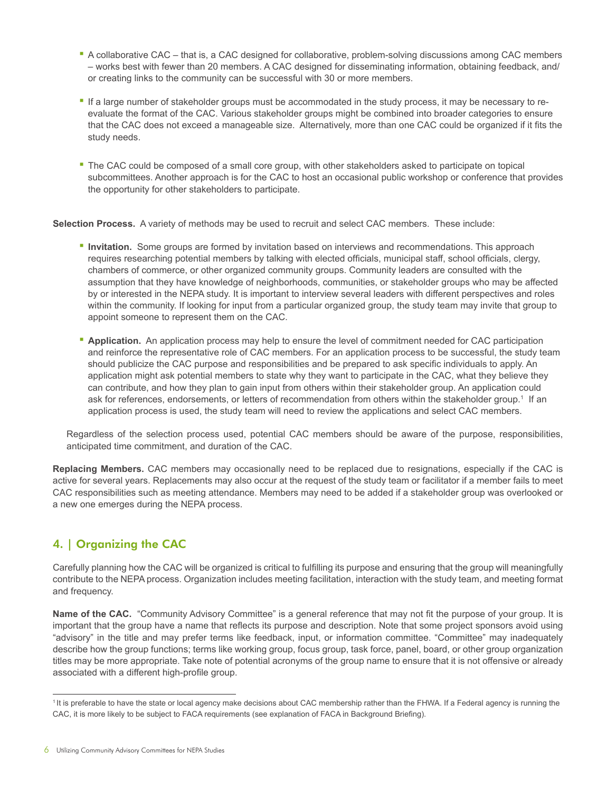- A collaborative CAC that is, a CAC designed for collaborative, problem-solving discussions among CAC members – works best with fewer than 20 members. A CAC designed for disseminating information, obtaining feedback, and/ or creating links to the community can be successful with 30 or more members.
- If a large number of stakeholder groups must be accommodated in the study process, it may be necessary to reevaluate the format of the CAC. Various stakeholder groups might be combined into broader categories to ensure that the CAC does not exceed a manageable size. Alternatively, more than one CAC could be organized if it fits the study needs.
- The CAC could be composed of a small core group, with other stakeholders asked to participate on topical subcommittees. Another approach is for the CAC to host an occasional public workshop or conference that provides the opportunity for other stakeholders to participate.

**Selection Process.** A variety of methods may be used to recruit and select CAC members. These include:

- **Invitation.** Some groups are formed by invitation based on interviews and recommendations. This approach requires researching potential members by talking with elected officials, municipal staff, school officials, clergy, chambers of commerce, or other organized community groups. Community leaders are consulted with the assumption that they have knowledge of neighborhoods, communities, or stakeholder groups who may be affected by or interested in the NEPA study. It is important to interview several leaders with different perspectives and roles within the community. If looking for input from a particular organized group, the study team may invite that group to appoint someone to represent them on the CAC.
- **Application.** An application process may help to ensure the level of commitment needed for CAC participation and reinforce the representative role of CAC members. For an application process to be successful, the study team should publicize the CAC purpose and responsibilities and be prepared to ask specific individuals to apply. An application might ask potential members to state why they want to participate in the CAC, what they believe they can contribute, and how they plan to gain input from others within their stakeholder group. An application could ask for references, endorsements, or letters of recommendation from others within the stakeholder group.<sup>1</sup> If an application process is used, the study team will need to review the applications and select CAC members.

Regardless of the selection process used, potential CAC members should be aware of the purpose, responsibilities, anticipated time commitment, and duration of the CAC.

**Replacing Members.** CAC members may occasionally need to be replaced due to resignations, especially if the CAC is active for several years. Replacements may also occur at the request of the study team or facilitator if a member fails to meet CAC responsibilities such as meeting attendance. Members may need to be added if a stakeholder group was overlooked or a new one emerges during the NEPA process.

## 4. | Organizing the CAC

Carefully planning how the CAC will be organized is critical to fulfilling its purpose and ensuring that the group will meaningfully contribute to the NEPA process. Organization includes meeting facilitation, interaction with the study team, and meeting format and frequency.

Name of the CAC. "Community Advisory Committee" is a general reference that may not fit the purpose of your group. It is important that the group have a name that reflects its purpose and description. Note that some project sponsors avoid using "advisory" in the title and may prefer terms like feedback, input, or information committee. "Committee" may inadequately describe how the group functions; terms like working group, focus group, task force, panel, board, or other group organization titles may be more appropriate. Take note of potential acronyms of the group name to ensure that it is not offensive or already associated with a different high-profile group.

<sup>&</sup>lt;sup>1</sup>It is preferable to have the state or local agency make decisions about CAC membership rather than the FHWA. If a Federal agency is running the CAC, it is more likely to be subject to FACA requirements (see explanation of FACA in Background Briefing).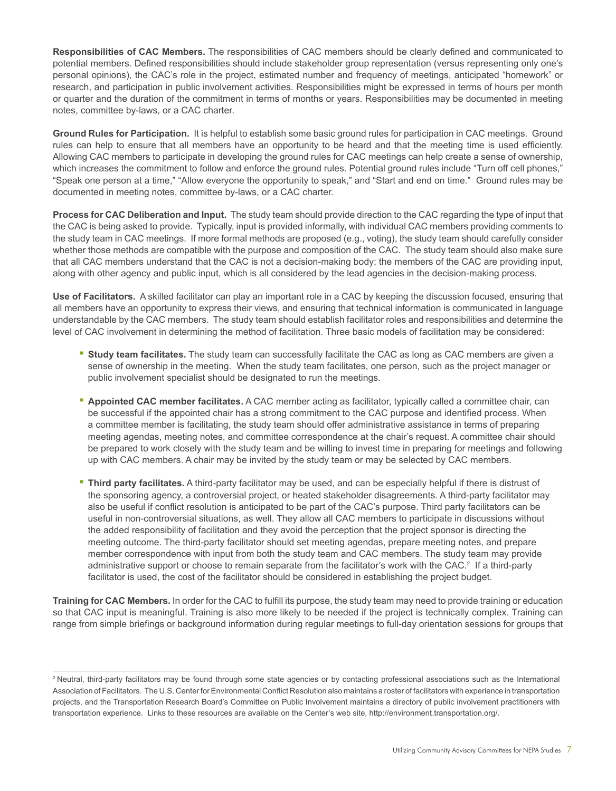**Responsibilities of CAC Members.** The responsibilities of CAC members should be clearly defined and communicated to potential members. Defined responsibilities should include stakeholder group representation (versus representing only one's personal opinions), the CAC's role in the project, estimated number and frequency of meetings, anticipated "homework" or research, and participation in public involvement activities. Responsibilities might be expressed in terms of hours per month or quarter and the duration of the commitment in terms of months or years. Responsibilities may be documented in meeting notes, committee by-laws, or a CAC charter.

**Ground Rules for Participation.** It is helpful to establish some basic ground rules for participation in CAC meetings. Ground rules can help to ensure that all members have an opportunity to be heard and that the meeting time is used efficiently. Allowing CAC members to participate in developing the ground rules for CAC meetings can help create a sense of ownership, which increases the commitment to follow and enforce the ground rules. Potential ground rules include "Turn off cell phones," "Speak one person at a time," "Allow everyone the opportunity to speak," and "Start and end on time." Ground rules may be documented in meeting notes, committee by-laws, or a CAC charter.

**Process for CAC Deliberation and Input.** The study team should provide direction to the CAC regarding the type of input that the CAC is being asked to provide. Typically, input is provided informally, with individual CAC members providing comments to the study team in CAC meetings. If more formal methods are proposed (e.g., voting), the study team should carefully consider whether those methods are compatible with the purpose and composition of the CAC. The study team should also make sure that all CAC members understand that the CAC is not a decision-making body; the members of the CAC are providing input, along with other agency and public input, which is all considered by the lead agencies in the decision-making process.

**Use of Facilitators.** A skilled facilitator can play an important role in a CAC by keeping the discussion focused, ensuring that all members have an opportunity to express their views, and ensuring that technical information is communicated in language understandable by the CAC members. The study team should establish facilitator roles and responsibilities and determine the level of CAC involvement in determining the method of facilitation. Three basic models of facilitation may be considered:

- **EXECT Study team facilitates.** The study team can successfully facilitate the CAC as long as CAC members are given a sense of ownership in the meeting. When the study team facilitates, one person, such as the project manager or public involvement specialist should be designated to run the meetings.
- **Appointed CAC member facilitates.** A CAC member acting as facilitator, typically called a committee chair, can be successful if the appointed chair has a strong commitment to the CAC purpose and identified process. When a committee member is facilitating, the study team should offer administrative assistance in terms of preparing meeting agendas, meeting notes, and committee correspondence at the chair's request. A committee chair should be prepared to work closely with the study team and be willing to invest time in preparing for meetings and following up with CAC members. A chair may be invited by the study team or may be selected by CAC members.
- **Third party facilitates.** A third-party facilitator may be used, and can be especially helpful if there is distrust of the sponsoring agency, a controversial project, or heated stakeholder disagreements. A third-party facilitator may also be useful if conflict resolution is anticipated to be part of the CAC's purpose. Third party facilitators can be useful in non-controversial situations, as well. They allow all CAC members to participate in discussions without the added responsibility of facilitation and they avoid the perception that the project sponsor is directing the meeting outcome. The third-party facilitator should set meeting agendas, prepare meeting notes, and prepare member correspondence with input from both the study team and CAC members. The study team may provide administrative support or choose to remain separate from the facilitator's work with the CAC.<sup>2</sup> If a third-party facilitator is used, the cost of the facilitator should be considered in establishing the project budget.

**Training for CAC Members.** In order for the CAC to fulfill its purpose, the study team may need to provide training or education so that CAC input is meaningful. Training is also more likely to be needed if the project is technically complex. Training can range from simple briefings or background information during regular meetings to full-day orientation sessions for groups that

<sup>&</sup>lt;sup>2</sup> Neutral, third-party facilitators may be found through some state agencies or by contacting professional associations such as the International Association of Facilitators. The U.S. Center for Environmental Conflict Resolution also maintains a roster of facilitators with experience in transportation projects, and the Transportation Research Board's Committee on Public Involvement maintains a directory of public involvement practitioners with transportation experience. Links to these resources are available on the Center's web site, http://environment.transportation.org/.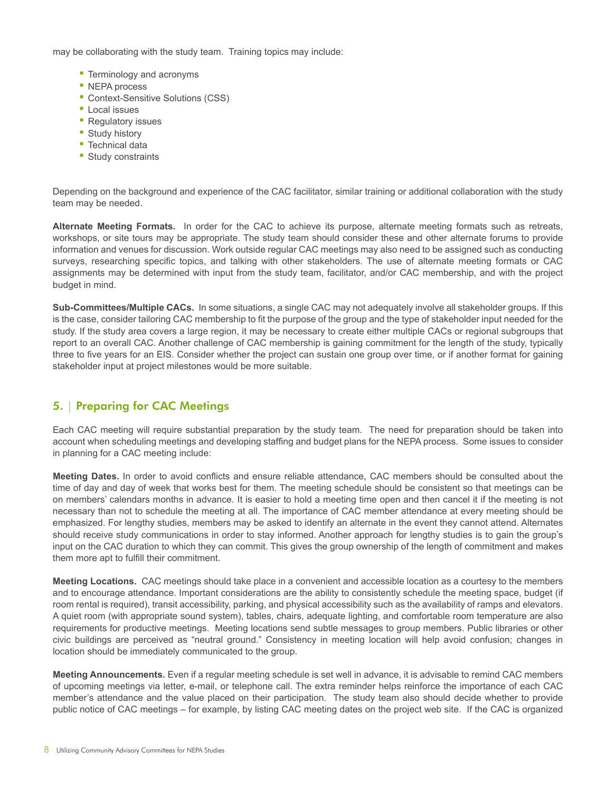may be collaborating with the study team. Training topics may include:

- **Terminology and acronyms**
- NEPA process
- **Context-Sensitive Solutions (CSS)**
- **Local issues**
- **Regulatory issues**
- Study history
- **Technical data**
- Study constraints

Depending on the background and experience of the CAC facilitator, similar training or additional collaboration with the study team may be needed.

**Alternate Meeting Formats.** In order for the CAC to achieve its purpose, alternate meeting formats such as retreats, workshops, or site tours may be appropriate. The study team should consider these and other alternate forums to provide information and venues for discussion. Work outside regular CAC meetings may also need to be assigned such as conducting surveys, researching specific topics, and talking with other stakeholders. The use of alternate meeting formats or CAC assignments may be determined with input from the study team, facilitator, and/or CAC membership, and with the project budget in mind.

**Sub-Committees/Multiple CACs.** In some situations, a single CAC may not adequately involve all stakeholder groups. If this is the case, consider tailoring CAC membership to fit the purpose of the group and the type of stakeholder input needed for the study. If the study area covers a large region, it may be necessary to create either multiple CACs or regional subgroups that report to an overall CAC. Another challenge of CAC membership is gaining commitment for the length of the study, typically three to five years for an EIS. Consider whether the project can sustain one group over time, or if another format for gaining stakeholder input at project milestones would be more suitable.

### 5. | Preparing for CAC Meetings

Each CAC meeting will require substantial preparation by the study team. The need for preparation should be taken into account when scheduling meetings and developing staffing and budget plans for the NEPA process. Some issues to consider in planning for a CAC meeting include:

Meeting Dates. In order to avoid conflicts and ensure reliable attendance, CAC members should be consulted about the time of day and day of week that works best for them. The meeting schedule should be consistent so that meetings can be on members' calendars months in advance. It is easier to hold a meeting time open and then cancel it if the meeting is not necessary than not to schedule the meeting at all. The importance of CAC member attendance at every meeting should be emphasized. For lengthy studies, members may be asked to identify an alternate in the event they cannot attend. Alternates should receive study communications in order to stay informed. Another approach for lengthy studies is to gain the group's input on the CAC duration to which they can commit. This gives the group ownership of the length of commitment and makes them more apt to fulfill their commitment.

**Meeting Locations.** CAC meetings should take place in a convenient and accessible location as a courtesy to the members and to encourage attendance. Important considerations are the ability to consistently schedule the meeting space, budget (if room rental is required), transit accessibility, parking, and physical accessibility such as the availability of ramps and elevators. A quiet room (with appropriate sound system), tables, chairs, adequate lighting, and comfortable room temperature are also requirements for productive meetings. Meeting locations send subtle messages to group members. Public libraries or other civic buildings are perceived as "neutral ground." Consistency in meeting location will help avoid confusion; changes in location should be immediately communicated to the group.

**Meeting Announcements.** Even if a regular meeting schedule is set well in advance, it is advisable to remind CAC members of upcoming meetings via letter, e-mail, or telephone call. The extra reminder helps reinforce the importance of each CAC member's attendance and the value placed on their participation. The study team also should decide whether to provide public notice of CAC meetings – for example, by listing CAC meeting dates on the project web site. If the CAC is organized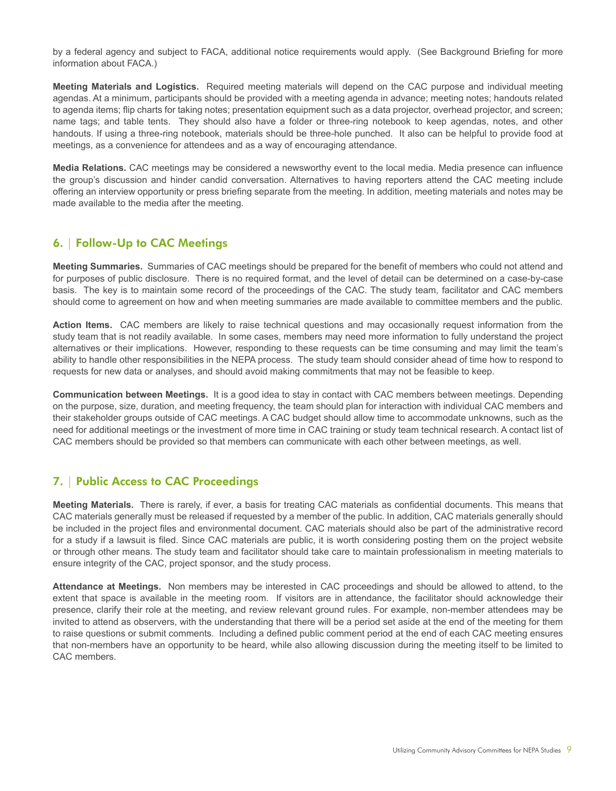by a federal agency and subject to FACA, additional notice requirements would apply. (See Background Briefing for more information about FACA.)

**Meeting Materials and Logistics.** Required meeting materials will depend on the CAC purpose and individual meeting agendas. At a minimum, participants should be provided with a meeting agenda in advance; meeting notes; handouts related to agenda items; flip charts for taking notes; presentation equipment such as a data projector, overhead projector, and screen; name tags; and table tents. They should also have a folder or three-ring notebook to keep agendas, notes, and other handouts. If using a three-ring notebook, materials should be three-hole punched. It also can be helpful to provide food at meetings, as a convenience for attendees and as a way of encouraging attendance.

**Media Relations.** CAC meetings may be considered a newsworthy event to the local media. Media presence can influence the group's discussion and hinder candid conversation. Alternatives to having reporters attend the CAC meeting include offering an interview opportunity or press briefing separate from the meeting. In addition, meeting materials and notes may be made available to the media after the meeting.

## 6. | Follow-Up to CAC Meetings

**Meeting Summaries.** Summaries of CAC meetings should be prepared for the benefit of members who could not attend and for purposes of public disclosure. There is no required format, and the level of detail can be determined on a case-by-case basis. The key is to maintain some record of the proceedings of the CAC. The study team, facilitator and CAC members should come to agreement on how and when meeting summaries are made available to committee members and the public.

**Action Items.** CAC members are likely to raise technical questions and may occasionally request information from the study team that is not readily available. In some cases, members may need more information to fully understand the project alternatives or their implications. However, responding to these requests can be time consuming and may limit the team's ability to handle other responsibilities in the NEPA process. The study team should consider ahead of time how to respond to requests for new data or analyses, and should avoid making commitments that may not be feasible to keep.

**Communication between Meetings.** It is a good idea to stay in contact with CAC members between meetings. Depending on the purpose, size, duration, and meeting frequency, the team should plan for interaction with individual CAC members and their stakeholder groups outside of CAC meetings. A CAC budget should allow time to accommodate unknowns, such as the need for additional meetings or the investment of more time in CAC training or study team technical research. A contact list of CAC members should be provided so that members can communicate with each other between meetings, as well.

## 7. | Public Access to CAC Proceedings

**Meeting Materials.** There is rarely, if ever, a basis for treating CAC materials as confidential documents. This means that CAC materials generally must be released if requested by a member of the public. In addition, CAC materials generally should be included in the project files and environmental document. CAC materials should also be part of the administrative record for a study if a lawsuit is filed. Since CAC materials are public, it is worth considering posting them on the project website or through other means. The study team and facilitator should take care to maintain professionalism in meeting materials to ensure integrity of the CAC, project sponsor, and the study process.

**Attendance at Meetings.** Non members may be interested in CAC proceedings and should be allowed to attend, to the extent that space is available in the meeting room. If visitors are in attendance, the facilitator should acknowledge their presence, clarify their role at the meeting, and review relevant ground rules. For example, non-member attendees may be invited to attend as observers, with the understanding that there will be a period set aside at the end of the meeting for them to raise questions or submit comments. Including a defined public comment period at the end of each CAC meeting ensures that non-members have an opportunity to be heard, while also allowing discussion during the meeting itself to be limited to CAC members.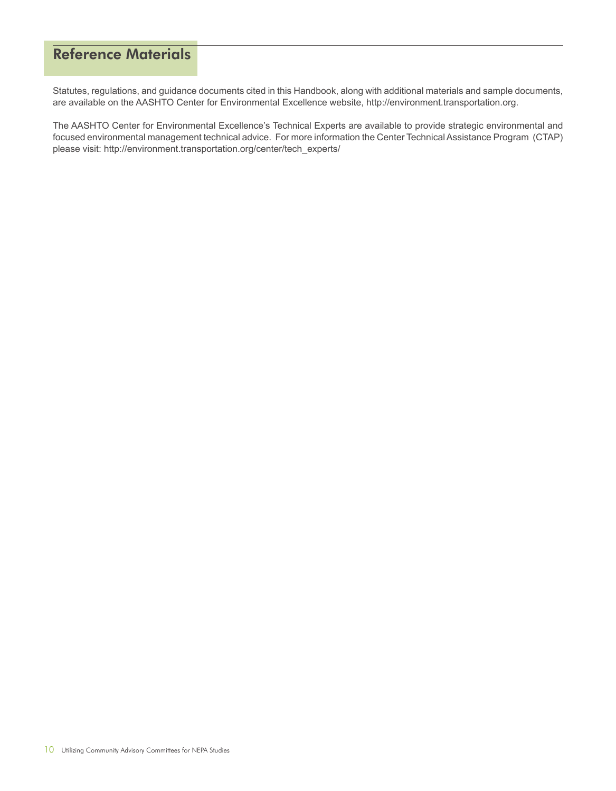# Reference Materials

Statutes, regulations, and guidance documents cited in this Handbook, along with additional materials and sample documents, are available on the AASHTO Center for Environmental Excellence website, http://environment.transportation.org.

The AASHTO Center for Environmental Excellence's Technical Experts are available to provide strategic environmental and focused environmental management technical advice. For more information the Center Technical Assistance Program (CTAP) please visit: http://environment.transportation.org/center/tech\_experts/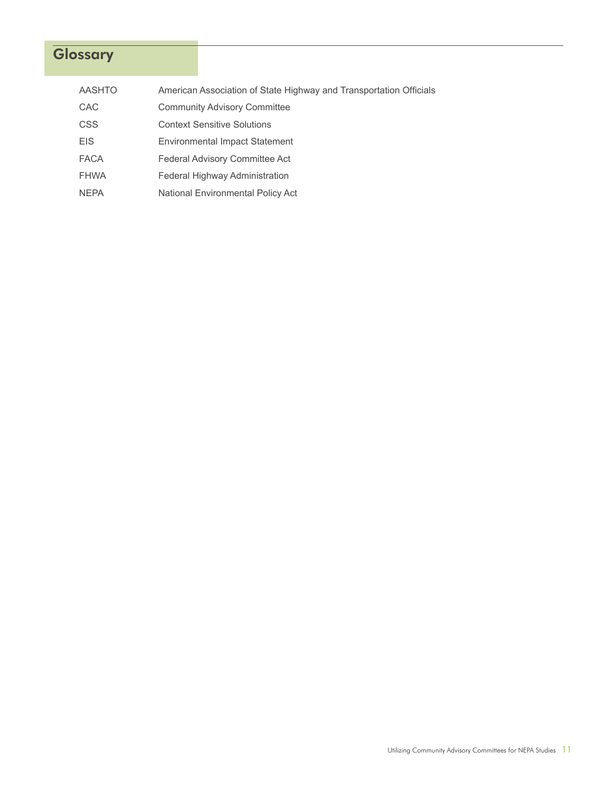# **Glossary**

| <b>AASHTO</b> | American Association of State Highway and Transportation Officials |
|---------------|--------------------------------------------------------------------|
| <b>CAC</b>    | <b>Community Advisory Committee</b>                                |
| <b>CSS</b>    | <b>Context Sensitive Solutions</b>                                 |
| <b>EIS</b>    | <b>Environmental Impact Statement</b>                              |
| <b>FACA</b>   | <b>Federal Advisory Committee Act</b>                              |
| <b>FHWA</b>   | Federal Highway Administration                                     |
| <b>NEPA</b>   | National Environmental Policy Act                                  |
|               |                                                                    |